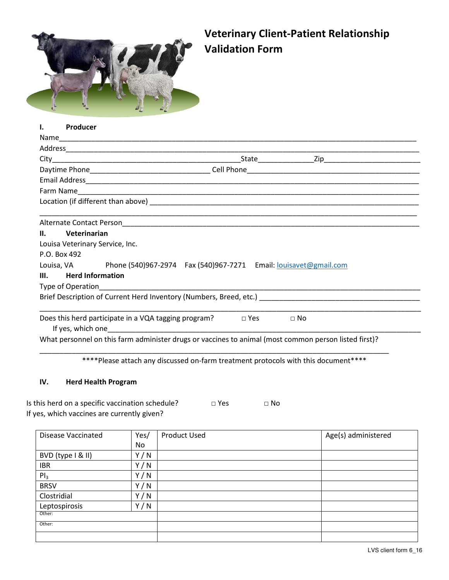

# **Veterinary Client-Patient Relationship Validation Form**

| Н.   | Veterinarian                                                                                          |  |           |  |  |
|------|-------------------------------------------------------------------------------------------------------|--|-----------|--|--|
|      | Louisa Veterinary Service, Inc.                                                                       |  |           |  |  |
|      | P.O. Box 492                                                                                          |  |           |  |  |
|      | Louisa, VA Phone (540)967-2974 Fax (540)967-7271 Email: louisavet@gmail.com                           |  |           |  |  |
| III. | <b>Herd Information</b>                                                                               |  |           |  |  |
|      |                                                                                                       |  |           |  |  |
|      |                                                                                                       |  |           |  |  |
|      | Does this herd participate in a VQA tagging program? $\Box$ Yes                                       |  | $\Box$ No |  |  |
|      | What personnel on this farm administer drugs or vaccines to animal (most common person listed first)? |  |           |  |  |
|      |                                                                                                       |  |           |  |  |

\*\*\*\*Please attach any discussed on-farm treatment protocols with this document\*\*\*\*

## **IV. Herd Health Program**

| Is this herd on a specific vaccination schedule? | $\Box$ Yes | $\Box$ No |
|--------------------------------------------------|------------|-----------|
| If yes, which vaccines are currently given?      |            |           |

| <b>Disease Vaccinated</b> | Yes/ | <b>Product Used</b> | Age(s) administered |
|---------------------------|------|---------------------|---------------------|
|                           | No   |                     |                     |
| BVD (type I & II)         | Y/N  |                     |                     |
| <b>IBR</b>                | Y/N  |                     |                     |
| PI <sub>3</sub>           | Y/N  |                     |                     |
| <b>BRSV</b>               | Y/N  |                     |                     |
| Clostridial               | Y/N  |                     |                     |
| Leptospirosis             | Y/N  |                     |                     |
| Other:                    |      |                     |                     |
| Other:                    |      |                     |                     |
|                           |      |                     |                     |